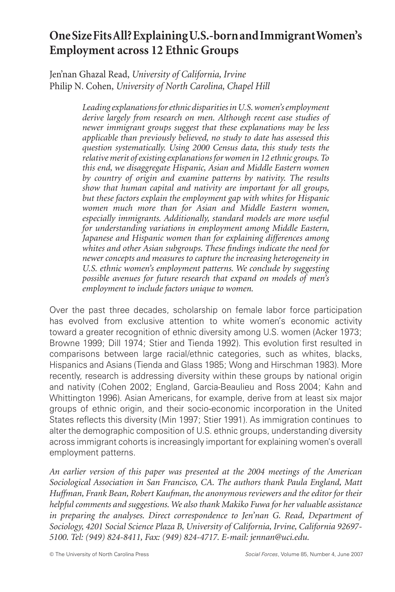## **One Size Fits All? Explaining U.S.-born and Immigrant Women's Employment across 12 Ethnic Groups**

Jen'nan Ghazal Read, *University of California, Irvine* Philip N. Cohen, *University of North Carolina, Chapel Hill*

> *Leading explanations for ethnic disparities in U.S. women's employment derive largely from research on men. Although recent case studies of newer immigrant groups suggest that these explanations may be less applicable than previously believed, no study to date has assessed this question systematically. Using 2000 Census data, this study tests the relative merit of existing explanations for women in 12 ethnic groups. To this end, we disaggregate Hispanic, Asian and Middle Eastern women by country of origin and examine patterns by nativity. The results show that human capital and nativity are important for all groups, but these factors explain the employment gap with whites for Hispanic women much more than for Asian and Middle Eastern women, especially immigrants. Additionally, standard models are more useful for understanding variations in employment among Middle Eastern, Japanese and Hispanic women than for explaining differences among*  whites and other Asian subgroups. These findings indicate the need for *newer concepts and measures to capture the increasing heterogeneity in*  U.S. ethnic women's employment patterns. We conclude by suggesting *possible avenues for future research that expand on models of men's employment to include factors unique to women.*

Over the past three decades, scholarship on female labor force participation has evolved from exclusive attention to white women's economic activity toward a greater recognition of ethnic diversity among U.S. women (Acker 1973; Browne 1999; Dill 1974; Stier and Tienda 1992). This evolution first resulted in comparisons between large racial/ethnic categories, such as whites, blacks, Hispanics and Asians (Tienda and Glass 1985; Wong and Hirschman 1983). More recently, research is addressing diversity within these groups by national origin and nativity (Cohen 2002; England, Garcia-Beaulieu and Ross 2004; Kahn and Whittington 1996). Asian Americans, for example, derive from at least six major groups of ethnic origin, and their socio-economic incorporation in the United States reflects this diversity (Min 1997; Stier 1991). As immigration continues to alter the demographic composition of U.S. ethnic groups, understanding diversity across immigrant cohorts is increasingly important for explaining women's overall employment patterns.

*An earlier version of this paper was presented at the 2004 meetings of the American Sociological Association in San Francisco, CA. The authors thank Paula England, Matt Huffman, Frank Bean, Robert Kaufman, the anonymous reviewers and the editor for their helpful comments and suggestions. We also thank Makiko Fuwa for her valuable assistance in preparing the analyses. Direct correspondence to Jen'nan G. Read, Department of Sociology, 4201 Social Science Plaza B, University of California, Irvine, California 92697- 5100. Tel: (949) 824-8411, Fax: (949) 824-4717. E-mail: jennan@uci.edu.*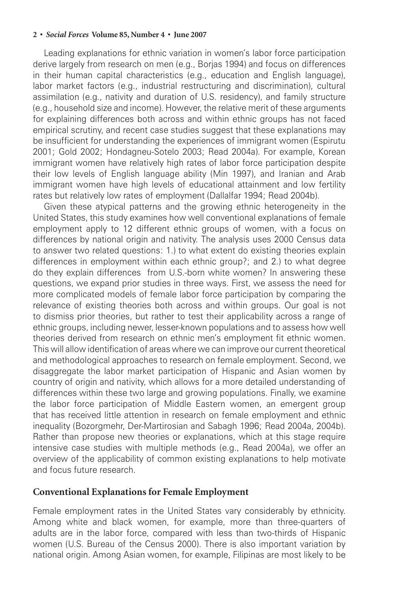Leading explanations for ethnic variation in women's labor force participation derive largely from research on men (e.g., Borjas 1994) and focus on differences in their human capital characteristics (e.g., education and English language), labor market factors (e.g., industrial restructuring and discrimination), cultural assimilation (e.g., nativity and duration of U.S. residency), and family structure (e.g., household size and income). However, the relative merit of these arguments for explaining differences both across and within ethnic groups has not faced empirical scrutiny, and recent case studies suggest that these explanations may be insufficient for understanding the experiences of immigrant women (Espirutu 2001; Gold 2002; Hondagneu-Sotelo 2003; Read 2004a). For example, Korean immigrant women have relatively high rates of labor force participation despite their low levels of English language ability (Min 1997), and Iranian and Arab immigrant women have high levels of educational attainment and low fertility rates but relatively low rates of employment (Dallalfar 1994; Read 2004b).

Given these atypical patterns and the growing ethnic heterogeneity in the United States, this study examines how well conventional explanations of female employment apply to 12 different ethnic groups of women, with a focus on differences by national origin and nativity. The analysis uses 2000 Census data to answer two related questions: 1.) to what extent do existing theories explain differences in employment within each ethnic group?; and 2.) to what degree do they explain differences from U.S.-born white women? In answering these questions, we expand prior studies in three ways. First, we assess the need for more complicated models of female labor force participation by comparing the relevance of existing theories both across and within groups. Our goal is not to dismiss prior theories, but rather to test their applicability across a range of ethnic groups, including newer, lesser-known populations and to assess how well theories derived from research on ethnic men's employment fit ethnic women. This will allow identification of areas where we can improve our current theoretical and methodological approaches to research on female employment. Second, we disaggregate the labor market participation of Hispanic and Asian women by country of origin and nativity, which allows for a more detailed understanding of differences within these two large and growing populations. Finally, we examine the labor force participation of Middle Eastern women, an emergent group that has received little attention in research on female employment and ethnic inequality (Bozorgmehr, Der-Martirosian and Sabagh 1996; Read 2004a, 2004b). Rather than propose new theories or explanations, which at this stage require intensive case studies with multiple methods (e.g., Read 2004a), we offer an overview of the applicability of common existing explanations to help motivate and focus future research.

## **Conventional Explanations for Female Employment**

Female employment rates in the United States vary considerably by ethnicity. Among white and black women, for example, more than three-quarters of adults are in the labor force, compared with less than two-thirds of Hispanic women (U.S. Bureau of the Census 2000). There is also important variation by national origin. Among Asian women, for example, Filipinas are most likely to be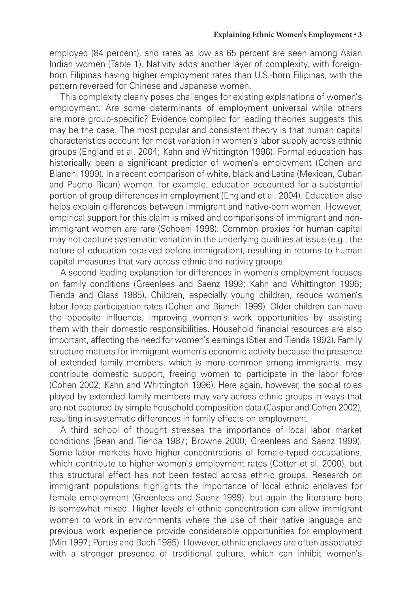employed (84 percent), and rates as low as 65 percent are seen among Asian Indian women (Table 1). Nativity adds another layer of complexity, with foreignborn Filipinas having higher employment rates than U.S.-born Filipinas, with the pattern reversed for Chinese and Japanese women.

This complexity clearly poses challenges for existing explanations of women's employment. Are some determinants of employment universal while others are more group-specific? Evidence compiled for leading theories suggests this may be the case. The most popular and consistent theory is that human capital characteristics account for most variation in women's labor supply across ethnic groups (England et al. 2004; Kahn and Whittington 1996). Formal education has historically been a significant predictor of women's employment (Cohen and Bianchi 1999). In a recent comparison of white, black and Latina (Mexican, Cuban and Puerto Rican) women, for example, education accounted for a substantial portion of group differences in employment (England et al. 2004). Education also helps explain differences between immigrant and native-born women. However, empirical support for this claim is mixed and comparisons of immigrant and nonimmigrant women are rare (Schoeni 1998). Common proxies for human capital may not capture systematic variation in the underlying qualities at issue (e.g., the nature of education received before immigration), resulting in returns to human capital measures that vary across ethnic and nativity groups.

A second leading explanation for differences in women's employment focuses on family conditions (Greenlees and Saenz 1999; Kahn and Whittington 1996; Tienda and Glass 1985). Children, especially young children, reduce women's labor force participation rates (Cohen and Bianchi 1999). Older children can have the opposite influence, improving women's work opportunities by assisting them with their domestic responsibilities. Household financial resources are also important, affecting the need for women's earnings (Stier and Tienda 1992). Family structure matters for immigrant women's economic activity because the presence of extended family members, which is more common among immigrants, may contribute domestic support, freeing women to participate in the labor force (Cohen 2002; Kahn and Whittington 1996). Here again, however, the social roles played by extended family members may vary across ethnic groups in ways that are not captured by simple household composition data (Casper and Cohen 2002), resulting in systematic differences in family effects on employment.

A third school of thought stresses the importance of local labor market conditions (Bean and Tienda 1987; Browne 2000; Greenlees and Saenz 1999). Some labor markets have higher concentrations of female-typed occupations, which contribute to higher women's employment rates (Cotter et al. 2000), but this structural effect has not been tested across ethnic groups. Research on immigrant populations highlights the importance of local ethnic enclaves for female employment (Greenlees and Saenz 1999), but again the literature here is somewhat mixed. Higher levels of ethnic concentration can allow immigrant women to work in environments where the use of their native language and previous work experience provide considerable opportunities for employment (Min 1997; Portes and Bach 1985). However, ethnic enclaves are often associated with a stronger presence of traditional culture, which can inhibit women's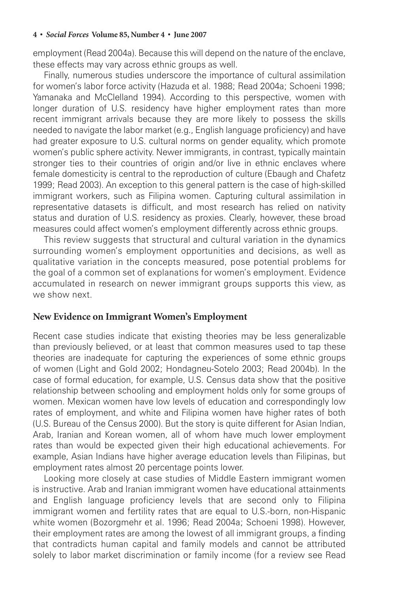employment (Read 2004a). Because this will depend on the nature of the enclave, these effects may vary across ethnic groups as well.

Finally, numerous studies underscore the importance of cultural assimilation for women's labor force activity (Hazuda et al. 1988; Read 2004a; Schoeni 1998; Yamanaka and McClelland 1994). According to this perspective, women with longer duration of U.S. residency have higher employment rates than more recent immigrant arrivals because they are more likely to possess the skills needed to navigate the labor market (e.g., English language proficiency) and have had greater exposure to U.S. cultural norms on gender equality, which promote women's public sphere activity. Newer immigrants, in contrast, typically maintain stronger ties to their countries of origin and/or live in ethnic enclaves where female domesticity is central to the reproduction of culture (Ebaugh and Chafetz 1999; Read 2003). An exception to this general pattern is the case of high-skilled immigrant workers, such as Filipina women. Capturing cultural assimilation in representative datasets is difficult, and most research has relied on nativity status and duration of U.S. residency as proxies. Clearly, however, these broad measures could affect women's employment differently across ethnic groups.

This review suggests that structural and cultural variation in the dynamics surrounding women's employment opportunities and decisions, as well as qualitative variation in the concepts measured, pose potential problems for the goal of a common set of explanations for women's employment. Evidence accumulated in research on newer immigrant groups supports this view, as we show next.

## **New Evidence on Immigrant Women's Employment**

Recent case studies indicate that existing theories may be less generalizable than previously believed, or at least that common measures used to tap these theories are inadequate for capturing the experiences of some ethnic groups of women (Light and Gold 2002; Hondagneu-Sotelo 2003; Read 2004b). In the case of formal education, for example, U.S. Census data show that the positive relationship between schooling and employment holds only for some groups of women. Mexican women have low levels of education and correspondingly low rates of employment, and white and Filipina women have higher rates of both (U.S. Bureau of the Census 2000). But the story is quite different for Asian Indian, Arab, Iranian and Korean women, all of whom have much lower employment rates than would be expected given their high educational achievements. For example, Asian Indians have higher average education levels than Filipinas, but employment rates almost 20 percentage points lower.

Looking more closely at case studies of Middle Eastern immigrant women is instructive. Arab and Iranian immigrant women have educational attainments and English language proficiency levels that are second only to Filipina immigrant women and fertility rates that are equal to U.S.-born, non-Hispanic white women (Bozorgmehr et al. 1996; Read 2004a; Schoeni 1998). However, their employment rates are among the lowest of all immigrant groups, a finding that contradicts human capital and family models and cannot be attributed solely to labor market discrimination or family income (for a review see Read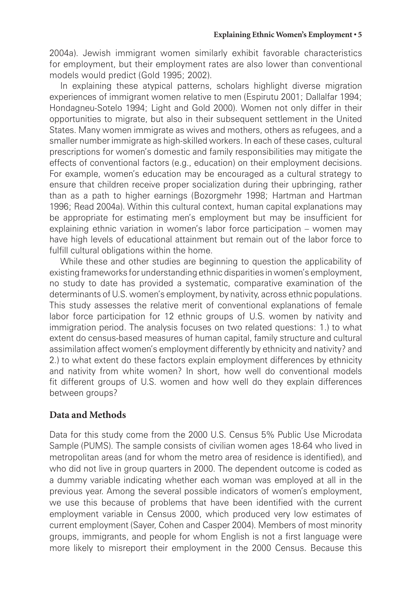2004a). Jewish immigrant women similarly exhibit favorable characteristics for employment, but their employment rates are also lower than conventional models would predict (Gold 1995; 2002).

In explaining these atypical patterns, scholars highlight diverse migration experiences of immigrant women relative to men (Espirutu 2001; Dallalfar 1994; Hondagneu-Sotelo 1994; Light and Gold 2000). Women not only differ in their opportunities to migrate, but also in their subsequent settlement in the United States. Many women immigrate as wives and mothers, others as refugees, and a smaller number immigrate as high-skilled workers. In each of these cases, cultural prescriptions for women's domestic and family responsibilities may mitigate the effects of conventional factors (e.g., education) on their employment decisions. For example, women's education may be encouraged as a cultural strategy to ensure that children receive proper socialization during their upbringing, rather than as a path to higher earnings (Bozorgmehr 1998; Hartman and Hartman 1996; Read 2004a). Within this cultural context, human capital explanations may be appropriate for estimating men's employment but may be insufficient for explaining ethnic variation in women's labor force participation – women may have high levels of educational attainment but remain out of the labor force to fulfill cultural obligations within the home.

While these and other studies are beginning to question the applicability of existing frameworks for understanding ethnic disparities in women's employment, no study to date has provided a systematic, comparative examination of the determinants of U.S. women's employment, by nativity, across ethnic populations. This study assesses the relative merit of conventional explanations of female labor force participation for 12 ethnic groups of U.S. women by nativity and immigration period. The analysis focuses on two related questions: 1.) to what extent do census-based measures of human capital, family structure and cultural assimilation affect women's employment differently by ethnicity and nativity? and 2.) to what extent do these factors explain employment differences by ethnicity and nativity from white women? In short, how well do conventional models fit different groups of U.S. women and how well do they explain differences between groups?

## **Data and Methods**

Data for this study come from the 2000 U.S. Census 5% Public Use Microdata Sample (PUMS). The sample consists of civilian women ages 18-64 who lived in metropolitan areas (and for whom the metro area of residence is identified), and who did not live in group quarters in 2000. The dependent outcome is coded as a dummy variable indicating whether each woman was employed at all in the previous year. Among the several possible indicators of women's employment, we use this because of problems that have been identified with the current employment variable in Census 2000, which produced very low estimates of current employment (Sayer, Cohen and Casper 2004). Members of most minority groups, immigrants, and people for whom English is not a first language were more likely to misreport their employment in the 2000 Census. Because this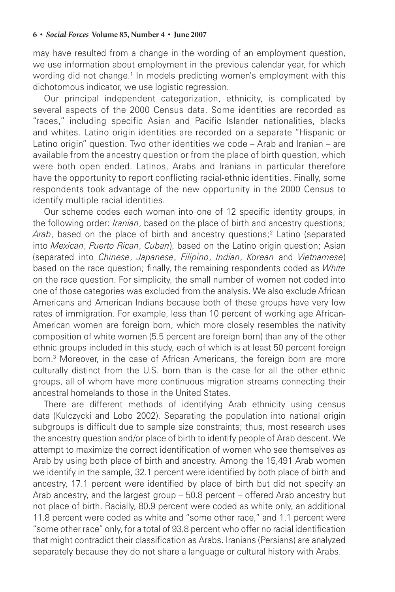may have resulted from a change in the wording of an employment question, we use information about employment in the previous calendar year, for which wording did not change.<sup>1</sup> In models predicting women's employment with this dichotomous indicator, we use logistic regression.

Our principal independent categorization, ethnicity, is complicated by several aspects of the 2000 Census data. Some identities are recorded as "races," including specific Asian and Pacific Islander nationalities, blacks and whites. Latino origin identities are recorded on a separate "Hispanic or Latino origin" question. Two other identities we code – Arab and Iranian – are available from the ancestry question or from the place of birth question, which were both open ended. Latinos, Arabs and Iranians in particular therefore have the opportunity to report conflicting racial-ethnic identities. Finally, some respondents took advantage of the new opportunity in the 2000 Census to identify multiple racial identities.

Our scheme codes each woman into one of 12 specific identity groups, in the following order: *Iranian*, based on the place of birth and ancestry questions; Arab, based on the place of birth and ancestry questions;<sup>2</sup> Latino (separated into *Mexican*, *Puerto Rican*, *Cuban*), based on the Latino origin question; Asian (separated into *Chinese*, *Japanese*, *Filipino*, *Indian*, *Korean* and *Vietnamese*) based on the race question; finally, the remaining respondents coded as *White* on the race question. For simplicity, the small number of women not coded into one of those categories was excluded from the analysis. We also exclude African Americans and American Indians because both of these groups have very low rates of immigration. For example, less than 10 percent of working age African-American women are foreign born, which more closely resembles the nativity composition of white women (5.5 percent are foreign born) than any of the other ethnic groups included in this study, each of which is at least 50 percent foreign born.3 Moreover, in the case of African Americans, the foreign born are more culturally distinct from the U.S. born than is the case for all the other ethnic groups, all of whom have more continuous migration streams connecting their ancestral homelands to those in the United States.

There are different methods of identifying Arab ethnicity using census data (Kulczycki and Lobo 2002). Separating the population into national origin subgroups is difficult due to sample size constraints; thus, most research uses the ancestry question and/or place of birth to identify people of Arab descent. We attempt to maximize the correct identification of women who see themselves as Arab by using both place of birth and ancestry. Among the 15,491 Arab women we identify in the sample, 32.1 percent were identified by both place of birth and ancestry, 17.1 percent were identified by place of birth but did not specify an Arab ancestry, and the largest group – 50.8 percent – offered Arab ancestry but not place of birth. Racially, 80.9 percent were coded as white only, an additional 11.8 percent were coded as white and "some other race," and 1.1 percent were "some other race" only, for a total of 93.8 percent who offer no racial identification that might contradict their classification as Arabs. Iranians (Persians) are analyzed separately because they do not share a language or cultural history with Arabs.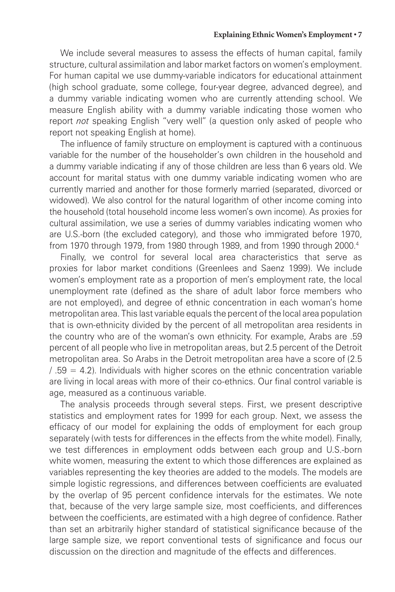We include several measures to assess the effects of human capital, family structure, cultural assimilation and labor market factors on women's employment. For human capital we use dummy-variable indicators for educational attainment (high school graduate, some college, four-year degree, advanced degree), and a dummy variable indicating women who are currently attending school. We measure English ability with a dummy variable indicating those women who report *not* speaking English "very well" (a question only asked of people who report not speaking English at home).

The influence of family structure on employment is captured with a continuous variable for the number of the householder's own children in the household and a dummy variable indicating if any of those children are less than 6 years old. We account for marital status with one dummy variable indicating women who are currently married and another for those formerly married (separated, divorced or widowed). We also control for the natural logarithm of other income coming into the household (total household income less women's own income). As proxies for cultural assimilation, we use a series of dummy variables indicating women who are U.S.-born (the excluded category), and those who immigrated before 1970, from 1970 through 1979, from 1980 through 1989, and from 1990 through 2000.4

Finally, we control for several local area characteristics that serve as proxies for labor market conditions (Greenlees and Saenz 1999). We include women's employment rate as a proportion of men's employment rate, the local unemployment rate (defined as the share of adult labor force members who are not employed), and degree of ethnic concentration in each woman's home metropolitan area. This last variable equals the percent of the local area population that is own-ethnicity divided by the percent of all metropolitan area residents in the country who are of the woman's own ethnicity. For example, Arabs are .59 percent of all people who live in metropolitan areas, but 2.5 percent of the Detroit metropolitan area. So Arabs in the Detroit metropolitan area have a score of (2.5  $/ .59 = 4.2$ ). Individuals with higher scores on the ethnic concentration variable are living in local areas with more of their co-ethnics. Our final control variable is age, measured as a continuous variable.

The analysis proceeds through several steps. First, we present descriptive statistics and employment rates for 1999 for each group. Next, we assess the efficacy of our model for explaining the odds of employment for each group separately (with tests for differences in the effects from the white model). Finally, we test differences in employment odds between each group and U.S.-born white women, measuring the extent to which those differences are explained as variables representing the key theories are added to the models. The models are simple logistic regressions, and differences between coefficients are evaluated by the overlap of 95 percent confidence intervals for the estimates. We note that, because of the very large sample size, most coefficients, and differences between the coefficients, are estimated with a high degree of confidence. Rather than set an arbitrarily higher standard of statistical significance because of the large sample size, we report conventional tests of significance and focus our discussion on the direction and magnitude of the effects and differences.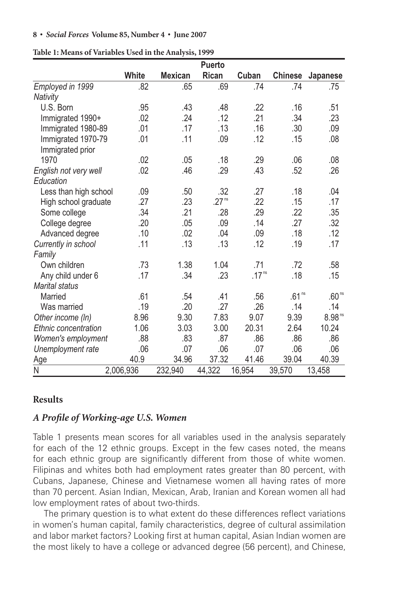|                       |              |                | <b>Puerto</b>     |                   |                   |                    |
|-----------------------|--------------|----------------|-------------------|-------------------|-------------------|--------------------|
|                       | <b>White</b> | <b>Mexican</b> | Rican             | Cuban             | <b>Chinese</b>    | Japanese           |
| Employed in 1999      | .82          | .65            | .69               | .74               | .74               | .75                |
| Nativity              |              |                |                   |                   |                   |                    |
| U.S. Born             | .95          | .43            | .48               | .22               | .16               | .51                |
| Immigrated 1990+      | .02          | .24            | .12               | .21               | .34               | .23                |
| Immigrated 1980-89    | .01          | .17            | .13               | .16               | .30               | .09                |
| Immigrated 1970-79    | .01          | .11            | .09               | .12               | .15               | .08                |
| Immigrated prior      |              |                |                   |                   |                   |                    |
| 1970                  | .02          | .05            | .18               | .29               | .06               | .08                |
| English not very well | .02          | .46            | .29               | .43               | .52               | .26                |
| Education             |              |                |                   |                   |                   |                    |
| Less than high school | .09          | .50            | .32               | .27               | .18               | .04                |
| High school graduate  | .27          | .23            | .27 <sup>ns</sup> | .22               | .15               | .17                |
| Some college          | .34          | .21            | .28               | .29               | .22               | .35                |
| College degree        | .20          | .05            | .09               | .14               | .27               | .32                |
| Advanced degree       | .10          | .02            | .04               | .09               | .18               | .12                |
| Currently in school   | .11          | .13            | .13               | .12               | .19               | .17                |
| Family                |              |                |                   |                   |                   |                    |
| Own children          | .73          | 1.38           | 1.04              | .71               | .72               | .58                |
| Any child under 6     | .17          | .34            | .23               | .17 <sup>ns</sup> | .18               | .15                |
| <b>Marital status</b> |              |                |                   |                   |                   |                    |
| Married               | .61          | .54            | .41               | .56               | .61 <sup>ns</sup> | .60 <sup>ns</sup>  |
| Was married           | .19          | .20            | .27               | .26               | .14               | .14                |
| Other income (In)     | 8.96         | 9.30           | 7.83              | 9.07              | 9.39              | 8.98 <sup>ns</sup> |
| Ethnic concentration  | 1.06         | 3.03           | 3.00              | 20.31             | 2.64              | 10.24              |
| Women's employment    | .88          | .83            | .87               | .86               | .86               | .86                |
| Unemployment rate     | .06          | .07            | .06               | .07               | .06               | .06                |
| Age                   | 40.9         | 34.96          | 37.32             | 41.46             | 39.04             | 40.39              |
| Ν                     | 2,006,936    | 232,940        | 44,322            | 16,954            | 39,570            | 13,458             |

**Table 1: Means of Variables Used in the Analysis, 1999**

## **Results**

## *A Profi le of Working-age U.S. Women*

Table 1 presents mean scores for all variables used in the analysis separately for each of the 12 ethnic groups. Except in the few cases noted, the means for each ethnic group are significantly different from those of white women. Filipinas and whites both had employment rates greater than 80 percent, with Cubans, Japanese, Chinese and Vietnamese women all having rates of more than 70 percent. Asian Indian, Mexican, Arab, Iranian and Korean women all had low employment rates of about two-thirds.

The primary question is to what extent do these differences reflect variations in women's human capital, family characteristics, degree of cultural assimilation and labor market factors? Looking first at human capital, Asian Indian women are the most likely to have a college or advanced degree (56 percent), and Chinese,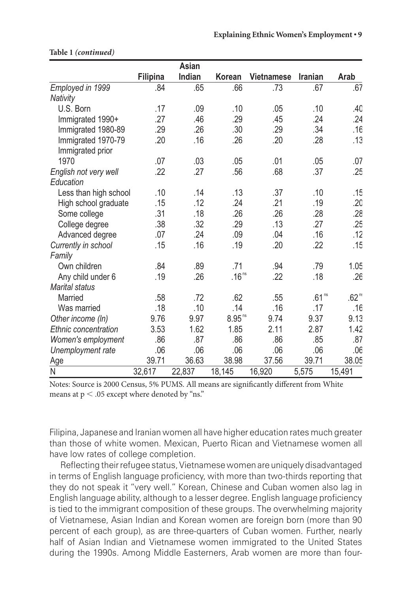|                                        |                 | Asian  |                   |                   |                   |                   |
|----------------------------------------|-----------------|--------|-------------------|-------------------|-------------------|-------------------|
|                                        | <b>Filipina</b> | Indian | Korean            | <b>Vietnamese</b> | <b>Iranian</b>    | Arab              |
| Employed in 1999                       | .84             | .65    | .66               | .73               | .67               | .67               |
| Nativity                               |                 |        |                   |                   |                   |                   |
| U.S. Born                              | .17             | .09    | .10               | .05               | .10               | .40               |
| Immigrated 1990+                       | .27             | .46    | .29               | .45               | .24               | .24               |
| Immigrated 1980-89                     | .29             | .26    | .30               | .29               | .34               | .16               |
| Immigrated 1970-79<br>Immigrated prior | .20             | .16    | .26               | .20               | .28               | .13               |
| 1970                                   | .07             | .03    | .05               | .01               | .05               | .07               |
| English not very well                  | .22             | .27    | .56               | .68               | .37               | .25               |
| Education                              |                 |        |                   |                   |                   |                   |
| Less than high school                  | .10             | .14    | .13               | .37               | .10               | .15               |
| High school graduate                   | .15             | .12    | .24               | .21               | .19               | .20               |
| Some college                           | .31             | .18    | .26               | .26               | .28               | .28               |
| College degree                         | .38             | .32    | .29               | .13               | .27               | .25               |
| Advanced degree                        | .07             | .24    | .09               | .04               | .16               | .12               |
| Currently in school                    | .15             | .16    | .19               | .20               | .22               | .15               |
| Family                                 |                 |        |                   |                   |                   |                   |
| Own children                           | .84             | .89    | .71               | .94               | .79               | 1.05              |
| Any child under 6                      | .19             | .26    | .16 <sup>ns</sup> | .22               | .18               | .26               |
| <b>Marital status</b>                  |                 |        |                   |                   |                   |                   |
| Married                                | .58             | .72    | .62               | .55               | .61 <sup>ns</sup> | .62 <sup>nt</sup> |
| Was married                            | .18             | .10    | .14               | .16               | .17               | .16               |
| Other income (In)                      | 9.76            | 9.97   | $8.95^{\,\rm ns}$ | 9.74              | 9.37              | 9.13              |
| Ethnic concentration                   | 3.53            | 1.62   | 1.85              | 2.11              | 2.87              | 1.42              |
| Women's employment                     | .86             | .87    | .86               | .86               | .85               | .87               |
| Unemployment rate                      | .06             | .06    | .06               | .06               | .06               | .06               |
| <u>Age</u>                             | 39.71           | 36.63  | 38.98             | 37.56             | 39.71             | 38.05             |
| Ν                                      | 32,617          | 22,837 | 18,145            | 16,920            | 5,575             | 15,491            |

### **Table 1** *(continued)* ( )

Notes: Source is 2000 Census, 5% PUMS. All means are significantly different from White means at p  $<$  .05 except where denoted by "ns."

Filipina, Japanese and Iranian women all have higher education rates much greater than those of white women. Mexican, Puerto Rican and Vietnamese women all have low rates of college completion.

Reflecting their refugee status, Vietnamese women are uniquely disadvantaged in terms of English language proficiency, with more than two-thirds reporting that they do not speak it "very well." Korean, Chinese and Cuban women also lag in English language ability, although to a lesser degree. English language proficiency is tied to the immigrant composition of these groups. The overwhelming majority of Vietnamese, Asian Indian and Korean women are foreign born (more than 90 percent of each group), as are three-quarters of Cuban women. Further, nearly half of Asian Indian and Vietnamese women immigrated to the United States during the 1990s. Among Middle Easterners, Arab women are more than four-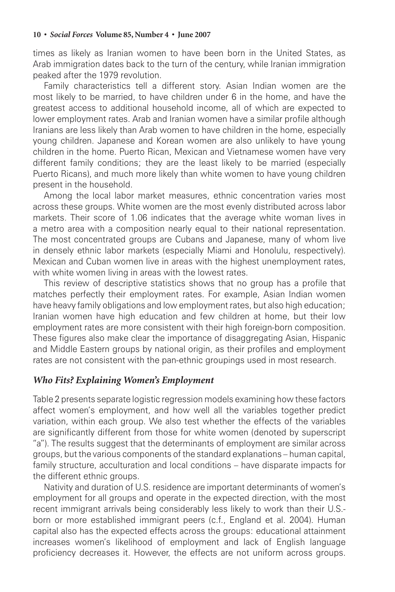times as likely as Iranian women to have been born in the United States, as Arab immigration dates back to the turn of the century, while Iranian immigration peaked after the 1979 revolution.

Family characteristics tell a different story. Asian Indian women are the most likely to be married, to have children under 6 in the home, and have the greatest access to additional household income, all of which are expected to lower employment rates. Arab and Iranian women have a similar profile although Iranians are less likely than Arab women to have children in the home, especially young children. Japanese and Korean women are also unlikely to have young children in the home. Puerto Rican, Mexican and Vietnamese women have very different family conditions; they are the least likely to be married (especially Puerto Ricans), and much more likely than white women to have young children present in the household.

Among the local labor market measures, ethnic concentration varies most across these groups. White women are the most evenly distributed across labor markets. Their score of 1.06 indicates that the average white woman lives in a metro area with a composition nearly equal to their national representation. The most concentrated groups are Cubans and Japanese, many of whom live in densely ethnic labor markets (especially Miami and Honolulu, respectively). Mexican and Cuban women live in areas with the highest unemployment rates, with white women living in areas with the lowest rates.

This review of descriptive statistics shows that no group has a profile that matches perfectly their employment rates. For example, Asian Indian women have heavy family obligations and low employment rates, but also high education; Iranian women have high education and few children at home, but their low employment rates are more consistent with their high foreign-born composition. These figures also make clear the importance of disaggregating Asian, Hispanic and Middle Eastern groups by national origin, as their profiles and employment rates are not consistent with the pan-ethnic groupings used in most research.

## *Who Fits? Explaining Women's Employment*

Table 2 presents separate logistic regression models examining how these factors affect women's employment, and how well all the variables together predict variation, within each group. We also test whether the effects of the variables are significantly different from those for white women (denoted by superscript "a"). The results suggest that the determinants of employment are similar across groups, but the various components of the standard explanations – human capital, family structure, acculturation and local conditions – have disparate impacts for the different ethnic groups.

Nativity and duration of U.S. residence are important determinants of women's employment for all groups and operate in the expected direction, with the most recent immigrant arrivals being considerably less likely to work than their U.S. born or more established immigrant peers (c.f., England et al. 2004). Human capital also has the expected effects across the groups: educational attainment increases women's likelihood of employment and lack of English language proficiency decreases it. However, the effects are not uniform across groups.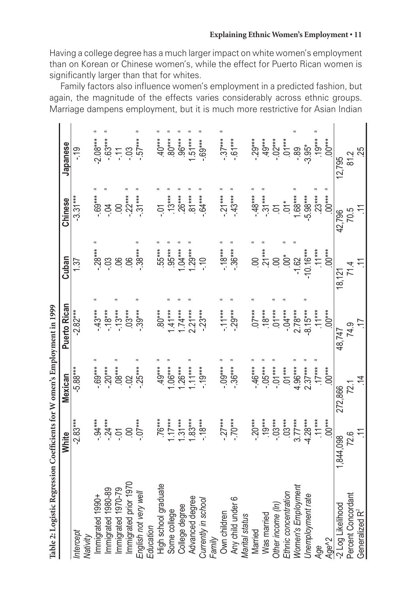Having a college degree has a much larger impact on white women's employment than on Korean or Chinese women's, while the effect for Puerto Rican women is significantly larger than that for whites.

Family factors also influence women's employment in a predicted fashion, but again, the magnitude of the effects varies considerably across ethnic groups. Marriage dampens employment, but it is much more restrictive for Asian Indian

| Table 2: Logistic Regression Coefficients for W omen's Employment in 1999 |                  |                |              |                       |                    |            |
|---------------------------------------------------------------------------|------------------|----------------|--------------|-----------------------|--------------------|------------|
|                                                                           | White            | Mexican        | Puerto Rican | Cuban                 | Chinese            | Japanese   |
| Intercept<br>Nativity                                                     | $-2.83***$       | $-5.88***$     | $-2.82***$   | 137                   | $-3.31***$         | <u>ာ့</u>  |
| mmigrated 1990+                                                           | $.94***$         | $-69***$       | $-43***$     | $-28***$              | $-69***$           | $-2.08***$ |
| mmigrated 1980-89                                                         | $-24***$         | $-20***$       | $-18***$     | $-0.3$                | $-0.$              | $-63**$    |
| mmigrated 1970-79                                                         |                  | $.08***$       | $-13***$     | 8                     | S                  | 두          |
| Immigrated prior 1970                                                     |                  | $\ddot{\circ}$ | $03***$      | $8^{\circ}$           | $22***$            | $-03$      |
| English not very well                                                     | $07***$          | $-25***$       | $.39***$     | $.38***$              | $31***$            | $-57***$   |
| Education                                                                 |                  |                |              |                       |                    |            |
| High school graduate                                                      | $.76***$         | $49***$        | $.80***$     | $.55***$              | έĊ                 | $40***$    |
| Some college                                                              | $1.17***$        | $-0.06**$      | $-41***$     | $.95***$              | $13***$            | $80***$    |
| College degree                                                            | $31***$          | $1.26***$      | $-4**$       | $.04***$              | $26***$            | $.96***$   |
| Advanced degree                                                           | $.83***$         | $11***$        | $2.21***$    | $1.29***$             | $81***$            | $.51***$   |
| Currently in school                                                       | $-18***$         | $-19***$       | $-23***$     | $\frac{1}{2}$         | $-64***$           | $.69***$   |
| Family                                                                    |                  |                |              |                       |                    |            |
| Own children                                                              | $27***$          | $-0.00**$      | $-11***$     | $-18***$              | $-21***$           | $-37***$   |
| Any child under 6                                                         | $-70***$         | $-36***$       | $-29***$     | $-36***$              | $-43***$           | $-61***$   |
| Marital status                                                            |                  |                |              |                       |                    |            |
| Married                                                                   | $20***$          | $.46***$       | $07***$      | 8                     | $-48**$            | $-29***$   |
| Was married                                                               | $.19***$         | $-05***$       | $.18***$     | $.21***$              | $-31***$           | $49***$    |
| Other income (In)                                                         | $-03***$         | $-01***$       | $01***$      |                       | $\sum$             | $-02***$   |
| Ethnic concentration                                                      | $03***$          | $01***$        | $-04***$     | $\stackrel{*}{\odot}$ | $rac{1}{\sqrt{2}}$ | $.01***$   |
| Women's Employment                                                        | $3.77***$        | $4.96***$      | $2.78***$    | $-1.62$               | $1.68***$          | -.89       |
| Unemployment rate                                                         | $-4.28***$       | $2.37***$      | $-8.15***$   | $-10.16***$           | $-5.98***$         | $-3.95*$   |
| Age                                                                       | $11***$          | $17***$        | $11***$      | $11***$               | $23***$            | $.19***$   |
| Age <sup>^2</sup>                                                         | $-00***$         | $-00***$       | $.00***$     | $.00***$              | $00***$            | $-00***$   |
| -2 Log Likelihood                                                         | 1,844,098        | 272,866        | 48,747       | 18,121                | 42,796             | 12,795     |
| Percent Concordant                                                        | 72.6             | 72.1           | 74.9         | 71.4                  | 70.5               | 81.2       |
| Generalized R <sup>2</sup>                                                | $\sum_{i=1}^{n}$ | $\overline{4}$ | ζĻ.          | $\tilde{\div}$        | $\tilde{=}$        | 25         |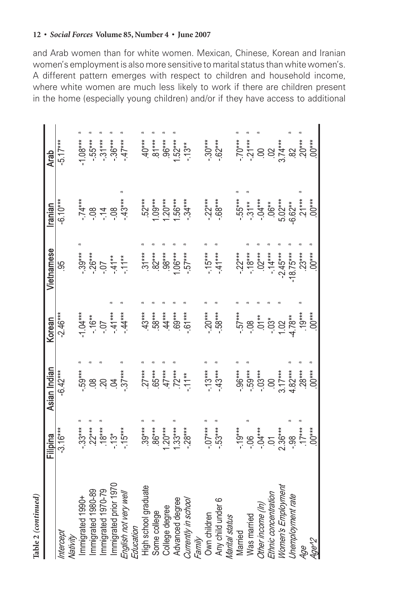# Table 2 (continued) **Table 2** *(continued)*

|                                    | Filipina                      | Asian Indian         | Korean                       | Vietnamese       | ranian                      | <b>Arab</b>                                        |
|------------------------------------|-------------------------------|----------------------|------------------------------|------------------|-----------------------------|----------------------------------------------------|
| Intercept                          | $-3.16***$                    | $-6.42***$           | $-2.46***$                   | မ္တ              | $-6.10***$                  | $-5.17***$                                         |
| Nativity                           |                               |                      |                              |                  |                             |                                                    |
| Immigrated 1990+                   | $-33***$                      | 59***                | $1.04***$                    | $.39***$         | $-74***$                    | $1.08***$                                          |
| Immigrated 1980-89                 |                               |                      |                              |                  |                             |                                                    |
| Immigrated 1970-79                 | $.22***$<br>$.18***$          | 884                  | $-16**$                      | $-26***$<br>- 07 | $\frac{8}{1}$ $\frac{4}{1}$ | $-55***$<br>$-31***$                               |
| Immigrated prior 1970              |                               |                      | $-44$                        | $-41**$          | $-08$                       | $-36***$                                           |
| English not very well<br>Education | $-13$ <sup>*</sup><br>- 15*** | $.37***$             | $-44***$                     | $-11**$          | $-43***$                    | $-47***$                                           |
| High school graduate               | $.39***$                      | $.27***$             | $43***$                      | $31***$          | 52***                       | $^{***}$                                           |
| Some college                       | $\sigma$<br>$.86***$          | $.65***$             | 58***                        | $82***$          | $.09***$                    | $.81***$                                           |
| College degree                     | $-50$                         | $47***$              | $.44***$                     | $98***$          | $20***$                     |                                                    |
| Advanced degree                    | $1.33***$                     | $72***$              | $69***$                      | $.06***$         | 56***                       | $.96***$<br>1.52***                                |
| Currently in school                | $-28***$                      | $-11**$              | $-61***$                     | $.57***$         | $-34***$                    | $-13**$                                            |
| Family                             |                               |                      |                              |                  |                             |                                                    |
| Own children                       | $-0.07***$                    | $-13***$             | $-20***$                     | $-15***$         | $-22***$                    | $-30***$                                           |
| Any child under 6                  | $-53***$                      | $-43***$             | $-58***$                     | $-41***$         | $-68***$                    | $-62**$                                            |
| Marital status                     |                               |                      |                              |                  |                             |                                                    |
| Married                            | $-19***$                      | $.96***$             | $-57***$                     | $-22***$         | $.55***$                    | $-70***$                                           |
| Was married                        |                               | 59***                |                              | $-18***$         | $-31**$                     |                                                    |
| Other income (In)                  | $-06$<br>$-04***$             | $-03***$             | $\frac{8}{10}$               | $02***$          | $-04***$                    |                                                    |
| Ethnic concentration               |                               | $\frac{00}{3.17***}$ |                              | $-14***$         | $.06**$                     |                                                    |
| Women's Employment                 | $01$<br>2.36***<br>-.98       |                      | $-03*$<br>$1.02$<br>$4.78**$ | $-2.45***$       | $5.02***$                   | $-21***$<br>$\frac{00}{02}$<br>$\frac{02}{074***}$ |
| Unemployment rate                  |                               | $4.82***$            |                              | $18.75***$       | $-6.62**$                   | 82                                                 |
| Age                                | $.17***$                      | $.28***$             | $.19***$                     | $23***$          | $21***$                     | $20***$                                            |
| 4ge'2                              | $.00***$                      | $.00***$             | $.00***$                     | $.00***$         | $-00***$                    | $00***$                                            |
|                                    |                               |                      |                              |                  |                             |                                                    |

## **12 •** *Social Forces* **Volume 85, Number 4 • June 2007**

and Arab women than for white women. Mexican, Chinese, Korean and Iranian women's employment is also more sensitive to marital status than white women's. A different pattern emerges with respect to children and household income, where white women are much less likely to work if there are children present in the home (especially young children) and/or if they have access to additional

> $\varpi$  $\varpi$

 $\overline{\sigma}$ 

 $\sigma$  $\sigma$  $\varpi$   $\begin{array}{ccc}\n\pi & \pi & \\
\ast & \ast & \\
\end{array}$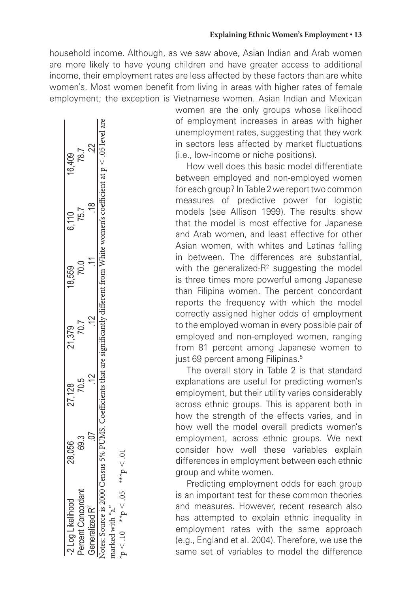### **Explaining Ethnic Women's Employment • 13**

household income. Although, as we saw above, Asian Indian and Arab women are more likely to have young children and have greater access to additional income, their employment rates are less affected by these factors than are white women's. Most women benefit from living in areas with higher rates of female employment; the exception is Vietnamese women. Asian Indian and Mexican

| -2 rog Likelihood                                              | 28,056  | 27,128 | 21,379 | 18,559 | 6,110                           | 16,409                                                                         |
|----------------------------------------------------------------|---------|--------|--------|--------|---------------------------------|--------------------------------------------------------------------------------|
|                                                                | ಣ<br>89 |        | 「くり    | ⊂<br>R | 75.7                            | 787                                                                            |
| Generalized <b>R</b> <sup>-</sup>                              |         | ć      |        |        | $\overset{\infty}{\rightarrow}$ | 22                                                                             |
| Notes: Source is 2000 Census 5% PUMS. Coefficients that are si |         |        |        |        |                                 | gnificantly different from White women's coefficient at $p \leq .05$ level are |
| marked with "a."                                               |         |        |        |        |                                 |                                                                                |
| $10 < 10$ *** $50 < 0.9$ ***                                   |         |        |        |        |                                 |                                                                                |

women are the only groups whose likelihood of employment increases in areas with higher unemployment rates, suggesting that they work in sectors less affected by market fluctuations (i.e., low-income or niche positions).

How well does this basic model differentiate between employed and non-employed women for each group? In Table 2 we report two common measures of predictive power for logistic models (see Allison 1999). The results show that the model is most effective for Japanese and Arab women, and least effective for other Asian women, with whites and Latinas falling in between. The differences are substantial, with the generalized- $R^2$  suggesting the model is three times more powerful among Japanese than Filipina women. The percent concordant reports the frequency with which the model correctly assigned higher odds of employment to the employed woman in every possible pair of employed and non-employed women, ranging from 81 percent among Japanese women to just 69 percent among Filipinas.<sup>5</sup>

The overall story in Table 2 is that standard explanations are useful for predicting women's employment, but their utility varies considerably across ethnic groups. This is apparent both in how the strength of the effects varies, and in how well the model overall predicts women's employment, across ethnic groups. We next consider how well these variables explain differences in employment between each ethnic group and white women.

Predicting employment odds for each group is an important test for these common theories and measures. However, recent research also has attempted to explain ethnic inequality in employment rates with the same approach (e.g., England et al. 2004). Therefore, we use the same set of variables to model the difference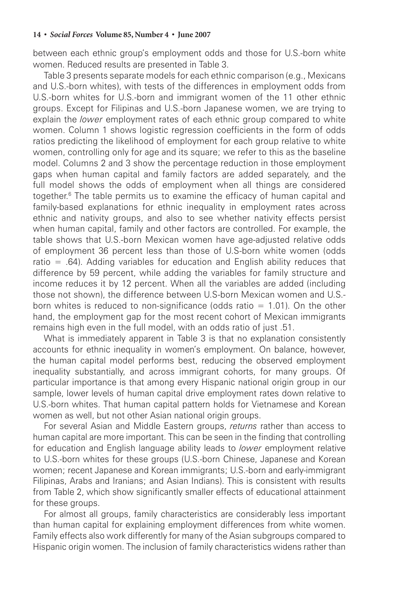between each ethnic group's employment odds and those for U.S.-born white women. Reduced results are presented in Table 3.

Table 3 presents separate models for each ethnic comparison (e.g., Mexicans and U.S.-born whites), with tests of the differences in employment odds from U.S.-born whites for U.S.-born and immigrant women of the 11 other ethnic groups. Except for Filipinas and U.S.-born Japanese women, we are trying to explain the *lower* employment rates of each ethnic group compared to white women. Column 1 shows logistic regression coefficients in the form of odds ratios predicting the likelihood of employment for each group relative to white women, controlling only for age and its square; we refer to this as the baseline model. Columns 2 and 3 show the percentage reduction in those employment gaps when human capital and family factors are added separately, and the full model shows the odds of employment when all things are considered together.6 The table permits us to examine the efficacy of human capital and family-based explanations for ethnic inequality in employment rates across ethnic and nativity groups, and also to see whether nativity effects persist when human capital, family and other factors are controlled. For example, the table shows that U.S.-born Mexican women have age-adjusted relative odds of employment 36 percent less than those of U.S-born white women (odds ratio  $=$  .64). Adding variables for education and English ability reduces that difference by 59 percent, while adding the variables for family structure and income reduces it by 12 percent. When all the variables are added (including those not shown), the difference between U.S-born Mexican women and U.S. born whites is reduced to non-significance (odds ratio  $= 1.01$ ). On the other hand, the employment gap for the most recent cohort of Mexican immigrants remains high even in the full model, with an odds ratio of just .51.

What is immediately apparent in Table 3 is that no explanation consistently accounts for ethnic inequality in women's employment. On balance, however, the human capital model performs best, reducing the observed employment inequality substantially, and across immigrant cohorts, for many groups. Of particular importance is that among every Hispanic national origin group in our sample, lower levels of human capital drive employment rates down relative to U.S.-born whites. That human capital pattern holds for Vietnamese and Korean women as well, but not other Asian national origin groups.

For several Asian and Middle Eastern groups, *returns* rather than access to human capital are more important. This can be seen in the finding that controlling for education and English language ability leads to *lower* employment relative to U.S.-born whites for these groups (U.S.-born Chinese, Japanese and Korean women; recent Japanese and Korean immigrants; U.S.-born and early-immigrant Filipinas, Arabs and Iranians; and Asian Indians). This is consistent with results from Table 2, which show significantly smaller effects of educational attainment for these groups.

For almost all groups, family characteristics are considerably less important than human capital for explaining employment differences from white women. Family effects also work differently for many of the Asian subgroups compared to Hispanic origin women. The inclusion of family characteristics widens rather than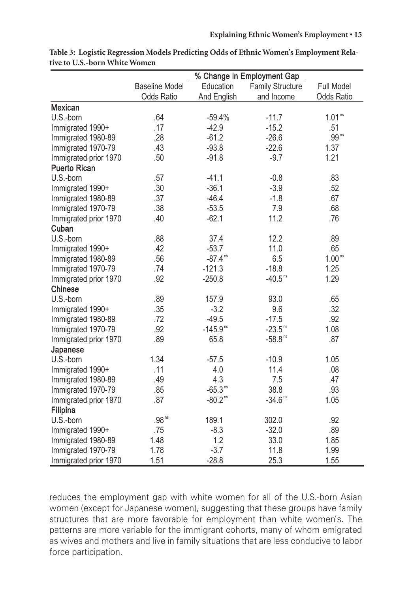|                       |                       |                        | % Change in Employment Gap |                    |
|-----------------------|-----------------------|------------------------|----------------------------|--------------------|
|                       | <b>Baseline Model</b> | Education              | <b>Family Structure</b>    | Full Model         |
|                       | <b>Odds Ratio</b>     | And English            | and Income                 | Odds Ratio         |
| <b>Mexican</b>        |                       |                        |                            |                    |
| U.S.-born             | .64                   | $-59.4%$               | $-11.7$                    | 1.01 <sup>ns</sup> |
| Immigrated 1990+      | .17                   | $-42.9$                | $-15.2$                    | .51                |
| Immigrated 1980-89    | .28                   | $-61.2$                | $-26.6$                    | .99 <sup>ns</sup>  |
| Immigrated 1970-79    | .43                   | $-93.8$                | $-22.6$                    | 1.37               |
| Immigrated prior 1970 | .50                   | $-91.8$                | $-9.7$                     | 1.21               |
| <b>Puerto Rican</b>   |                       |                        |                            |                    |
| U.S.-born             | .57                   | $-41.1$                | $-0.8$                     | .83                |
| Immigrated 1990+      | .30                   | $-36.1$                | $-3.9$                     | .52                |
| Immigrated 1980-89    | .37                   | $-46.4$                | $-1.8$                     | .67                |
| Immigrated 1970-79    | .38                   | $-53.5$                | 7.9                        | .68                |
| Immigrated prior 1970 | .40                   | $-62.1$                | 11.2                       | .76                |
| Cuban                 |                       |                        |                            |                    |
| U.S.-born             | .88                   | 37.4                   | 12.2                       | .89                |
| Immigrated 1990+      | .42                   | $-53.7$                | 11.0                       | .65                |
| Immigrated 1980-89    | .56                   | $-87.4$ <sup>ns</sup>  | 6.5                        | 1.00 <sup>ns</sup> |
| Immigrated 1970-79    | .74                   | $-121.3$               | $-18.8$                    | 1.25               |
| Immigrated prior 1970 | .92                   | $-250.8$               | $-40.5$ <sup>ns</sup>      | 1.29               |
| Chinese               |                       |                        |                            |                    |
| U.S.-born             | .89                   | 157.9                  | 93.0                       | .65                |
| Immigrated 1990+      | .35                   | $-3.2$                 | 9.6                        | .32                |
| Immigrated 1980-89    | .72                   | $-49.5$                | $-17.5$                    | .92                |
| Immigrated 1970-79    | .92                   | $-145.9$ <sup>ns</sup> | $-23.5$ <sup>ns</sup>      | 1.08               |
| Immigrated prior 1970 | .89                   | 65.8                   | $-58.8$ <sup>ns</sup>      | .87                |
| Japanese              |                       |                        |                            |                    |
| U.S.-born             | 1.34                  | $-57.5$                | $-10.9$                    | 1.05               |
| Immigrated 1990+      | .11                   | 4.0                    | 11.4                       | .08                |
| Immigrated 1980-89    | .49                   | 4.3                    | 7.5                        | .47                |
| Immigrated 1970-79    | .85                   | $-65.3$ <sup>ns</sup>  | 38.8                       | .93                |
| Immigrated prior 1970 | .87                   | $-80.2$ <sup>ns</sup>  | $-34.6$ <sup>ns</sup>      | 1.05               |
| Filipina              |                       |                        |                            |                    |
| U.S.-born             | $.98^{\,\rm ns}$      | 189.1                  | 302.0                      | .92                |
| Immigrated 1990+      | .75                   | $-8.3$                 | $-32.0$                    | .89                |
| Immigrated 1980-89    | 1.48                  | 1.2                    | 33.0                       | 1.85               |
| Immigrated 1970-79    | 1.78                  | $-3.7$                 | 11.8                       | 1.99               |
| Immigrated prior 1970 | 1.51                  | $-28.8$                | 25.3                       | 1.55               |

**Table 3: Logistic Regression Models Predicting Odds of Ethnic Women's Employment Relative to U.S.-born White Women**

reduces the employment gap with white women for all of the U.S.-born Asian women (except for Japanese women), suggesting that these groups have family structures that are more favorable for employment than white women's. The patterns are more variable for the immigrant cohorts, many of whom emigrated as wives and mothers and live in family situations that are less conducive to labor force participation.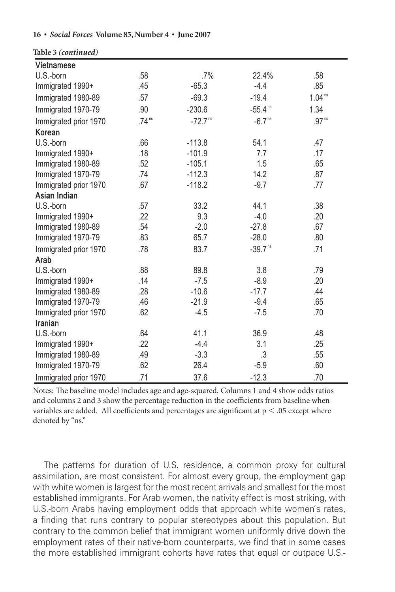#### **Table 3** *(continued)*

| <b>Vietnamese</b>     |                     |                       |                       |                    |
|-----------------------|---------------------|-----------------------|-----------------------|--------------------|
| U.S.-born             | .58                 | $.7\%$                | 22.4%                 | .58                |
| Immigrated 1990+      | .45                 | $-65.3$               | $-4.4$                | .85                |
| Immigrated 1980-89    | .57                 | $-69.3$               | $-19.4$               | 1.04 <sup>ns</sup> |
| Immigrated 1970-79    | .90                 | $-230.6$              | $-55.4$ <sup>ns</sup> | 1.34               |
| Immigrated prior 1970 | $.74$ <sup>ns</sup> | $-72.7$ <sup>ns</sup> | $-6.7$ <sup>ns</sup>  | .97 <sup>ns</sup>  |
| Korean                |                     |                       |                       |                    |
| U.S.-born             | .66                 | $-113.8$              | 54.1                  | .47                |
| Immigrated 1990+      | .18                 | $-101.9$              | 7.7                   | .17                |
| Immigrated 1980-89    | .52                 | $-105.1$              | 1.5                   | .65                |
| Immigrated 1970-79    | .74                 | $-112.3$              | 14.2                  | .87                |
| Immigrated prior 1970 | .67                 | $-118.2$              | $-9.7$                | .77                |
| Asian Indian          |                     |                       |                       |                    |
| U.S.-born             | .57                 | 33.2                  | 44.1                  | .38                |
| Immigrated 1990+      | .22                 | 9.3                   | $-4.0$                | .20                |
| Immigrated 1980-89    | .54                 | $-2.0$                | $-27.8$               | .67                |
| Immigrated 1970-79    | .83                 | 65.7                  | $-28.0$               | .80                |
| Immigrated prior 1970 | .78                 | 83.7                  | $-39.7$ <sup>ns</sup> | .71                |
| Arab                  |                     |                       |                       |                    |
| U.S.-born             | .88                 | 89.8                  | 3.8                   | .79                |
| Immigrated 1990+      | .14                 | $-7.5$                | $-8.9$                | .20                |
| Immigrated 1980-89    | .28                 | $-10.6$               | $-17.7$               | .44                |
| Immigrated 1970-79    | .46                 | $-21.9$               | $-9.4$                | .65                |
| Immigrated prior 1970 | .62                 | $-4.5$                | $-7.5$                | .70                |
| Iranian               |                     |                       |                       |                    |
| U.S.-born             | .64                 | 41.1                  | 36.9                  | .48                |
| Immigrated 1990+      | .22                 | $-4.4$                | 3.1                   | .25                |
| Immigrated 1980-89    | .49                 | $-3.3$                | .3                    | .55                |
| Immigrated 1970-79    | .62                 | 26.4                  | $-5.9$                | .60                |
| Immigrated prior 1970 | .71                 | 37.6                  | $-12.3$               | .70                |

Notes: The baseline model includes age and age-squared. Columns 1 and 4 show odds ratios and columns 2 and 3 show the percentage reduction in the coefficients from baseline when variables are added. All coefficients and percentages are significant at  $p < .05$  except where denoted by "ns."

The patterns for duration of U.S. residence, a common proxy for cultural assimilation, are most consistent. For almost every group, the employment gap with white women is largest for the most recent arrivals and smallest for the most established immigrants. For Arab women, the nativity effect is most striking, with U.S.-born Arabs having employment odds that approach white women's rates, a finding that runs contrary to popular stereotypes about this population. But contrary to the common belief that immigrant women uniformly drive down the employment rates of their native-born counterparts, we find that in some cases the more established immigrant cohorts have rates that equal or outpace U.S.-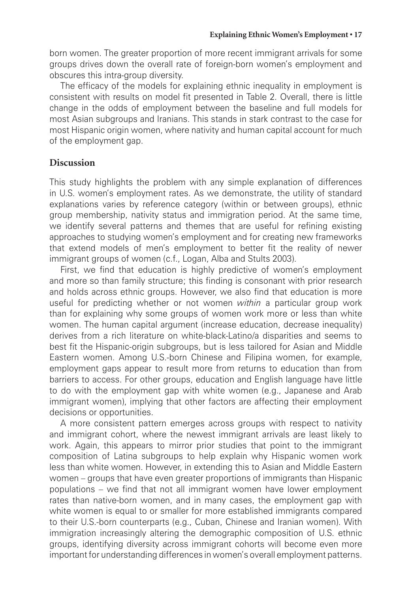born women. The greater proportion of more recent immigrant arrivals for some groups drives down the overall rate of foreign-born women's employment and obscures this intra-group diversity.

The efficacy of the models for explaining ethnic inequality in employment is consistent with results on model fit presented in Table 2. Overall, there is little change in the odds of employment between the baseline and full models for most Asian subgroups and Iranians. This stands in stark contrast to the case for most Hispanic origin women, where nativity and human capital account for much of the employment gap.

## **Discussion**

This study highlights the problem with any simple explanation of differences in U.S. women's employment rates. As we demonstrate, the utility of standard explanations varies by reference category (within or between groups), ethnic group membership, nativity status and immigration period. At the same time, we identify several patterns and themes that are useful for refining existing approaches to studying women's employment and for creating new frameworks that extend models of men's employment to better fit the reality of newer immigrant groups of women (c.f., Logan, Alba and Stults 2003).

First, we find that education is highly predictive of women's employment and more so than family structure; this finding is consonant with prior research and holds across ethnic groups. However, we also find that education is more useful for predicting whether or not women *within* a particular group work than for explaining why some groups of women work more or less than white women. The human capital argument (increase education, decrease inequality) derives from a rich literature on white-black-Latino/a disparities and seems to best fit the Hispanic-origin subgroups, but is less tailored for Asian and Middle Eastern women. Among U.S.-born Chinese and Filipina women, for example, employment gaps appear to result more from returns to education than from barriers to access. For other groups, education and English language have little to do with the employment gap with white women (e.g., Japanese and Arab immigrant women), implying that other factors are affecting their employment decisions or opportunities.

A more consistent pattern emerges across groups with respect to nativity and immigrant cohort, where the newest immigrant arrivals are least likely to work. Again, this appears to mirror prior studies that point to the immigrant composition of Latina subgroups to help explain why Hispanic women work less than white women. However, in extending this to Asian and Middle Eastern women – groups that have even greater proportions of immigrants than Hispanic populations – we find that not all immigrant women have lower employment rates than native-born women, and in many cases, the employment gap with white women is equal to or smaller for more established immigrants compared to their U.S.-born counterparts (e.g., Cuban, Chinese and Iranian women). With immigration increasingly altering the demographic composition of U.S. ethnic groups, identifying diversity across immigrant cohorts will become even more important for understanding differences in women's overall employment patterns.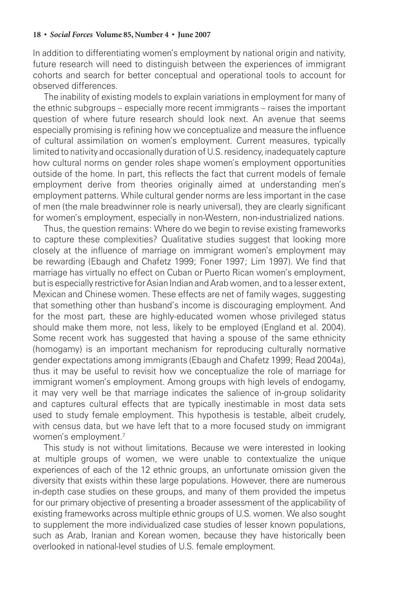In addition to differentiating women's employment by national origin and nativity, future research will need to distinguish between the experiences of immigrant cohorts and search for better conceptual and operational tools to account for observed differences.

The inability of existing models to explain variations in employment for many of the ethnic subgroups – especially more recent immigrants – raises the important question of where future research should look next. An avenue that seems especially promising is refining how we conceptualize and measure the influence of cultural assimilation on women's employment. Current measures, typically limited to nativity and occasionally duration of U.S. residency, inadequately capture how cultural norms on gender roles shape women's employment opportunities outside of the home. In part, this reflects the fact that current models of female employment derive from theories originally aimed at understanding men's employment patterns. While cultural gender norms are less important in the case of men (the male breadwinner role is nearly universal), they are clearly significant for women's employment, especially in non-Western, non-industrialized nations.

Thus, the question remains: Where do we begin to revise existing frameworks to capture these complexities? Qualitative studies suggest that looking more closely at the influence of marriage on immigrant women's employment may be rewarding (Ebaugh and Chafetz 1999; Foner 1997; Lim 1997). We find that marriage has virtually no effect on Cuban or Puerto Rican women's employment, but is especially restrictive for Asian Indian and Arab women, and to a lesser extent, Mexican and Chinese women. These effects are net of family wages, suggesting that something other than husband's income is discouraging employment. And for the most part, these are highly-educated women whose privileged status should make them more, not less, likely to be employed (England et al. 2004). Some recent work has suggested that having a spouse of the same ethnicity (homogamy) is an important mechanism for reproducing culturally normative gender expectations among immigrants (Ebaugh and Chafetz 1999; Read 2004a), thus it may be useful to revisit how we conceptualize the role of marriage for immigrant women's employment. Among groups with high levels of endogamy, it may very well be that marriage indicates the salience of in-group solidarity and captures cultural effects that are typically inestimable in most data sets used to study female employment. This hypothesis is testable, albeit crudely, with census data, but we have left that to a more focused study on immigrant women's employment.<sup>7</sup>

This study is not without limitations. Because we were interested in looking at multiple groups of women, we were unable to contextualize the unique experiences of each of the 12 ethnic groups, an unfortunate omission given the diversity that exists within these large populations. However, there are numerous in-depth case studies on these groups, and many of them provided the impetus for our primary objective of presenting a broader assessment of the applicability of existing frameworks across multiple ethnic groups of U.S. women. We also sought to supplement the more individualized case studies of lesser known populations, such as Arab, Iranian and Korean women, because they have historically been overlooked in national-level studies of U.S. female employment.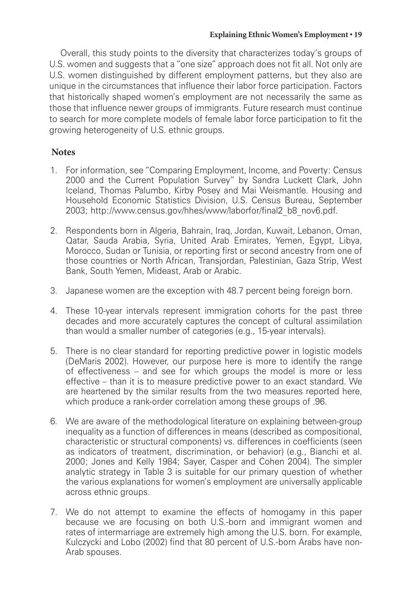Overall, this study points to the diversity that characterizes today's groups of U.S. women and suggests that a "one size" approach does not fit all. Not only are U.S. women distinguished by different employment patterns, but they also are unique in the circumstances that influence their labor force participation. Factors that historically shaped women's employment are not necessarily the same as those that influence newer groups of immigrants. Future research must continue to search for more complete models of female labor force participation to fit the growing heterogeneity of U.S. ethnic groups.

## **Notes**

- 1. For information, see "Comparing Employment, Income, and Poverty: Census 2000 and the Current Population Survey" by Sandra Luckett Clark, John Iceland, Thomas Palumbo, Kirby Posey and Mai Weismantle. Housing and Household Economic Statistics Division, U.S. Census Bureau, September 2003; http://www.census.gov/hhes/www/laborfor/final2\_b8\_nov6.pdf.
- 2. Respondents born in Algeria, Bahrain, Iraq, Jordan, Kuwait, Lebanon, Oman, Qatar, Sauda Arabia, Syria, United Arab Emirates, Yemen, Egypt, Libya, Morocco, Sudan or Tunisia, or reporting first or second ancestry from one of those countries or North African, Transjordan, Palestinian, Gaza Strip, West Bank, South Yemen, Mideast, Arab or Arabic.
- 3. Japanese women are the exception with 48.7 percent being foreign born.
- 4. These 10-year intervals represent immigration cohorts for the past three decades and more accurately captures the concept of cultural assimilation than would a smaller number of categories (e.g., 15-year intervals).
- 5. There is no clear standard for reporting predictive power in logistic models (DeMaris 2002). However, our purpose here is more to identify the range of effectiveness – and see for which groups the model is more or less effective – than it is to measure predictive power to an exact standard. We are heartened by the similar results from the two measures reported here, which produce a rank-order correlation among these groups of .96.
- 6. We are aware of the methodological literature on explaining between-group inequality as a function of differences in means (described as compositional, characteristic or structural components) vs. differences in coefficients (seen as indicators of treatment, discrimination, or behavior) (e.g., Bianchi et al. 2000; Jones and Kelly 1984; Sayer, Casper and Cohen 2004). The simpler analytic strategy in Table 3 is suitable for our primary question of whether the various explanations for women's employment are universally applicable across ethnic groups.
- 7. We do not attempt to examine the effects of homogamy in this paper because we are focusing on both U.S.-born and immigrant women and rates of intermarriage are extremely high among the U.S. born. For example, Kulczycki and Lobo (2002) find that 80 percent of U.S.-born Arabs have non-Arab spouses.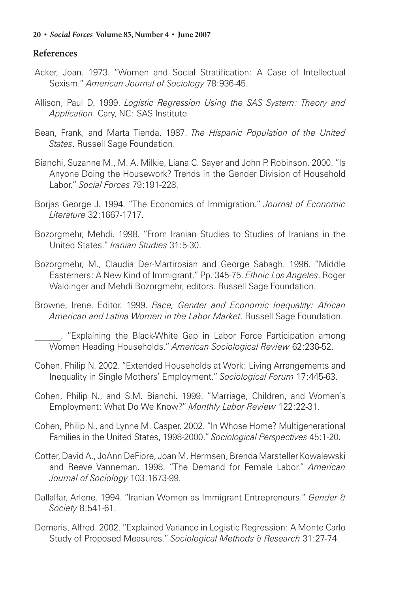## **References**

- Acker, Joan. 1973. "Women and Social Stratification: A Case of Intellectual Sexism." *American Journal of Sociology* 78:936-45.
- Allison, Paul D. 1999. *Logistic Regression Using the SAS System: Theory and Application*. Cary, NC: SAS Institute.
- Bean, Frank, and Marta Tienda. 1987. *The Hispanic Population of the United States*. Russell Sage Foundation.
- Bianchi, Suzanne M., M. A. Milkie, Liana C. Sayer and John P. Robinson. 2000. "Is Anyone Doing the Housework? Trends in the Gender Division of Household Labor." *Social Forces* 79:191-228.
- Borjas George J. 1994. "The Economics of Immigration." *Journal of Economic Literature* 32:1667-1717.
- Bozorgmehr, Mehdi. 1998. "From Iranian Studies to Studies of Iranians in the United States." *Iranian Studies* 31:5-30.
- Bozorgmehr, M., Claudia Der-Martirosian and George Sabagh. 1996. "Middle Easterners: A New Kind of Immigrant." Pp. 345-75. *Ethnic Los Angeles*. Roger Waldinger and Mehdi Bozorgmehr, editors. Russell Sage Foundation.
- Browne, Irene. Editor. 1999. *Race, Gender and Economic Inequality: African American and Latina Women in the Labor Market*. Russell Sage Foundation.

\_\_\_\_\_\_. "Explaining the Black-White Gap in Labor Force Participation among Women Heading Households." *American Sociological Review* 62:236-52.

- Cohen, Philip N. 2002. "Extended Households at Work: Living Arrangements and Inequality in Single Mothers' Employment." *Sociological Forum* 17:445-63.
- Cohen, Philip N., and S.M. Bianchi. 1999. "Marriage, Children, and Women's Employment: What Do We Know?" *Monthly Labor Review* 122:22-31.
- Cohen, Philip N., and Lynne M. Casper. 2002. "In Whose Home? Multigenerational Families in the United States, 1998-2000." *Sociological Perspectives* 45:1-20.
- Cotter, David A., JoAnn DeFiore, Joan M. Hermsen, Brenda Marsteller Kowalewski and Reeve Vanneman. 1998. "The Demand for Female Labor." *American Journal of Sociology* 103:1673-99.
- Dallalfar, Arlene. 1994. "Iranian Women as Immigrant Entrepreneurs." *Gender & Society* 8:541-61.
- Demaris, Alfred. 2002. "Explained Variance in Logistic Regression: A Monte Carlo Study of Proposed Measures." *Sociological Methods & Research* 31:27-74.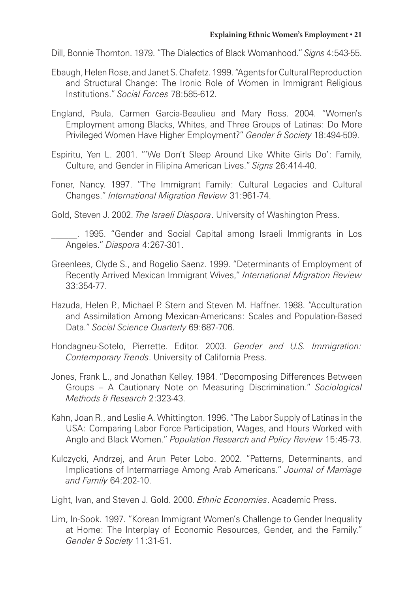Dill, Bonnie Thornton. 1979. "The Dialectics of Black Womanhood." *Signs* 4:543-55.

- Ebaugh, Helen Rose, and Janet S. Chafetz. 1999. "Agents for Cultural Reproduction and Structural Change: The Ironic Role of Women in Immigrant Religious Institutions." *Social Forces* 78:585-612.
- England, Paula, Carmen Garcia-Beaulieu and Mary Ross. 2004. "Women's Employment among Blacks, Whites, and Three Groups of Latinas: Do More Privileged Women Have Higher Employment?" *Gender & Society* 18:494-509.
- Espiritu, Yen L. 2001. "'We Don't Sleep Around Like White Girls Do': Family, Culture, and Gender in Filipina American Lives." *Signs* 26:414-40.
- Foner, Nancy. 1997. "The Immigrant Family: Cultural Legacies and Cultural Changes." *International Migration Review* 31:961-74.

Gold, Steven J. 2002. *The Israeli Diaspora*. University of Washington Press.

. 1995. "Gender and Social Capital among Israeli Immigrants in Los Angeles." *Diaspora* 4:267-301.

- Greenlees, Clyde S., and Rogelio Saenz. 1999. "Determinants of Employment of Recently Arrived Mexican Immigrant Wives," *International Migration Review* 33:354-77.
- Hazuda, Helen P., Michael P. Stern and Steven M. Haffner. 1988. "Acculturation and Assimilation Among Mexican-Americans: Scales and Population-Based Data." *Social Science Quarterly* 69:687-706.
- Hondagneu-Sotelo, Pierrette. Editor. 2003. *Gender and U.S. Immigration: Contemporary Trends*. University of California Press.
- Jones, Frank L., and Jonathan Kelley. 1984. "Decomposing Differences Between Groups – A Cautionary Note on Measuring Discrimination." *Sociological Methods & Research* 2:323-43.
- Kahn, Joan R., and Leslie A. Whittington. 1996. "The Labor Supply of Latinas in the USA: Comparing Labor Force Participation, Wages, and Hours Worked with Anglo and Black Women." *Population Research and Policy Review* 15:45-73.
- Kulczycki, Andrzej, and Arun Peter Lobo. 2002. "Patterns, Determinants, and Implications of Intermarriage Among Arab Americans." *Journal of Marriage and Family* 64:202-10.

Light, Ivan, and Steven J. Gold. 2000. *Ethnic Economies*. Academic Press.

Lim, In-Sook. 1997. "Korean Immigrant Women's Challenge to Gender Inequality at Home: The Interplay of Economic Resources, Gender, and the Family." *Gender & Society* 11:31-51.